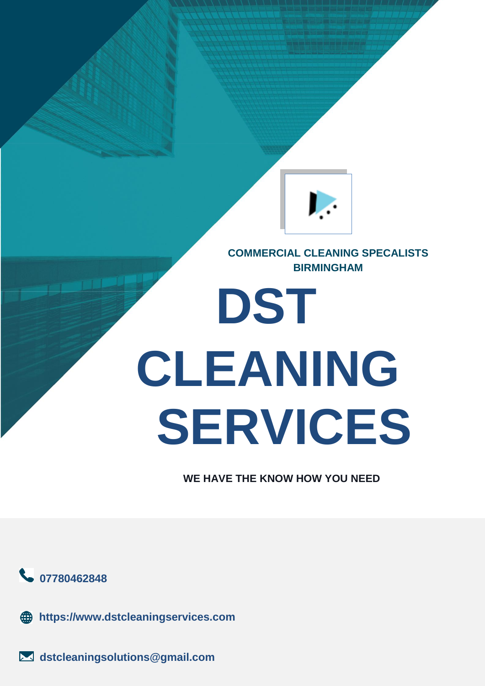

**COMMERCIAL CLEANING SPECALISTS BIRMINGHAM**

# **DST CLEANING SERVICES**

**WE HAVE THE KNOW HOW YOU NEED**



**https://www.dstcleaningservices.com**

**dstcleaningsolutions@gmail.com**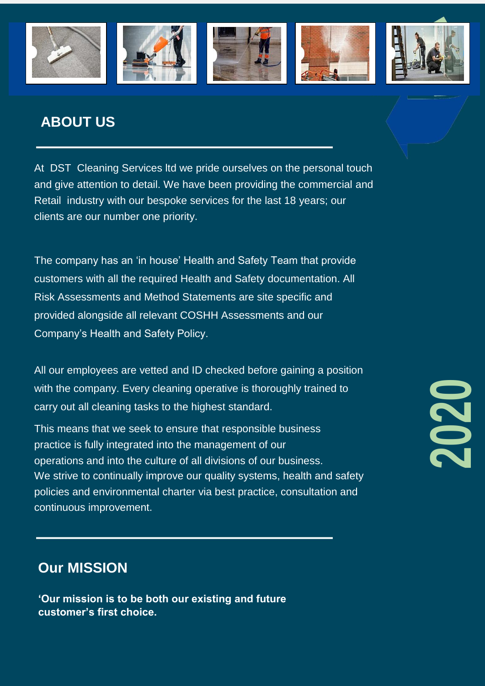

## **ABOUT US**

At DST Cleaning Services ltd we pride ourselves on the personal touch and give attention to detail. We have been providing the commercial and Retail industry with our bespoke services for the last 18 years; our clients are our number one priority.

The company has an 'in house' Health and Safety Team that provide customers with all the required Health and Safety documentation. All Risk Assessments and Method Statements are site specific and provided alongside all relevant COSHH Assessments and our Company's Health and Safety Policy.

All our employees are vetted and ID checked before gaining a position with the company. Every cleaning operative is thoroughly trained to carry out all cleaning tasks to the highest standard.

This means that we seek to ensure that responsible business practice is fully integrated into the management of our operations and into the culture of all divisions of our business. We strive to continually improve our quality systems, health and safety policies and environmental charter via best practice, consultation and continuous improvement.

# **2020**

### **Our MISSION**

**'Our mission is to be both our existing and future customer's first choice.**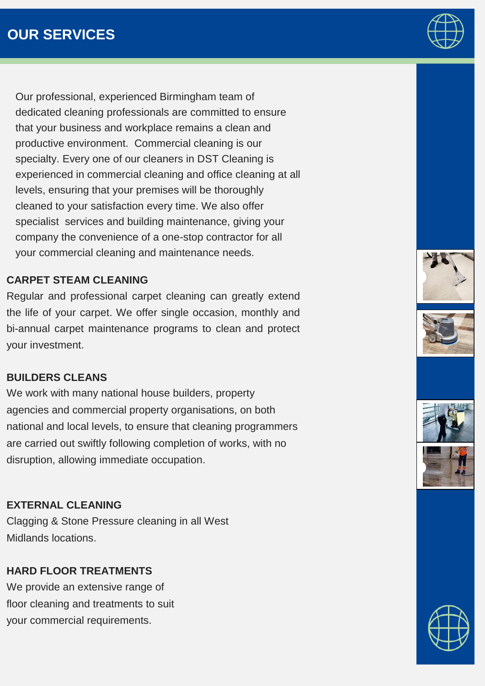Our professional, experienced Birmingham team of dedicated cleaning professionals are committed to ensure that your business and workplace remains a clean and productive environment. Commercial cleaning is our specialty. Every one of our cleaners in DST Cleaning is experienced in commercial cleaning and office cleaning at all levels, ensuring that your premises will be thoroughly cleaned to your satisfaction every time. We also offer specialist services and building maintenance, giving your company the convenience of a one-stop contractor for all your commercial cleaning and maintenance needs.

#### **CARPET STEAM CLEANING**

Regular and professional carpet cleaning can greatly extend the life of your carpet. We offer single occasion, monthly and bi-annual carpet maintenance programs to clean and protect your investment.

#### **BUILDERS CLEANS**

We work with many national house builders, property agencies and commercial property organisations, on both national and local levels, to ensure that cleaning programmers are carried out swiftly following completion of works, with no disruption, allowing immediate occupation.

#### **EXTERNAL CLEANING**

Clagging & Stone Pressure cleaning in all West Midlands locations.

#### **HARD FLOOR TREATMENTS**

We provide an extensive range of floor cleaning and treatments to suit your commercial requirements.